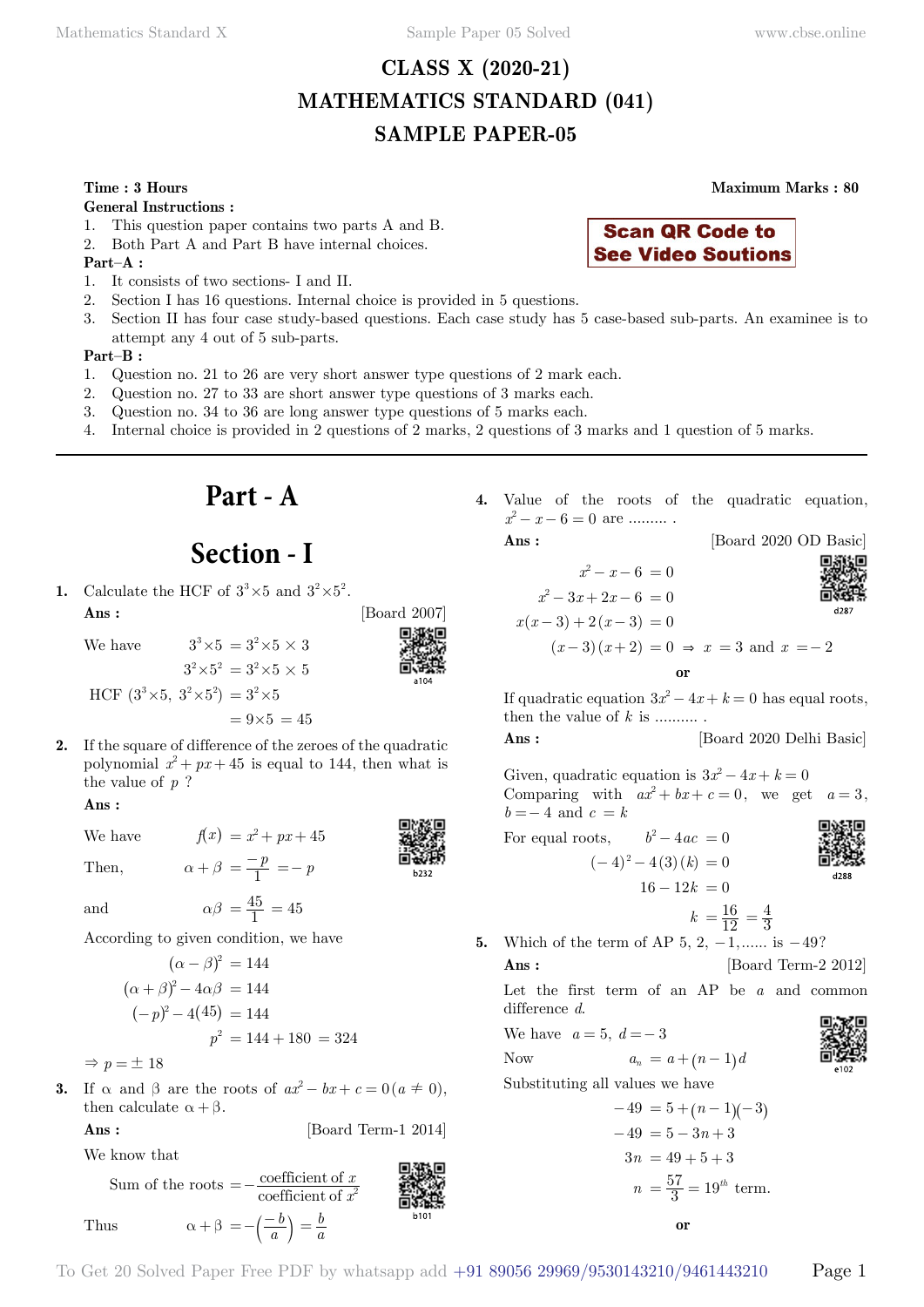# **CLASS X (2020-21) MATHEMATICS STANDARD (041) SAMPLE PAPER-05**

## **Time : 3 Hours Maximum Marks : 80**

**General Instructions :**

- 1. This question paper contains two parts A and B.
- 2. Both Part A and Part B have internal choices.

**Part–A :**

- 1. It consists of two sections- I and II.
- 2. Section I has 16 questions. Internal choice is provided in 5 questions.
- 3. Section II has four case study-based questions. Each case study has 5 case-based sub-parts. An examinee is to attempt any 4 out of 5 sub-parts.

## **Part–B :**

- 1. Question no. 21 to 26 are very short answer type questions of 2 mark each.
- 2. Question no. 27 to 33 are short answer type questions of 3 marks each.
- 3. Question no. 34 to 36 are long answer type questions of 5 marks each.
- 4. Internal choice is provided in 2 questions of 2 marks, 2 questions of 3 marks and 1 question of 5 marks.

# **Part - A**

# **Section - I**

**1.** Calculate the HCF of  $3^3 \times 5$  and  $3^2 \times 5^2$ . **Ans :** [Board 2007]

We have



h233

 $3^3 \times 5 = 3^2 \times 5 \times 3$  $3^2 \times 5^2 = 3^2 \times 5 \times 5$ HCF  $(3^3 \times 5, 3^2 \times 5^2) = 3^2 \times 5$ 

**2.** If the square of difference of the zeroes of the quadratic polynomial  $x^2 + px + 45$  is equal to 144, then what is the value of *p* ?

 $= 9 \times 5 = 45$ 

# **Ans :**

We have  $f(x) = x^2 + px + 45$ 

Then,  $\alpha + \beta = \frac{-p}{1} = -p$ 

and 
$$
\alpha \beta = \frac{45}{1} = 45
$$

According to given condition, we have

$$
(\alpha - \beta)^2 = 144
$$
  
\n
$$
(\alpha + \beta)^2 - 4\alpha\beta = 144
$$
  
\n
$$
(-p)^2 - 4(45) = 144
$$
  
\n
$$
p^2 = 144 + 180 = 324
$$

 $\Rightarrow$  *p* =  $\pm$  18

**3.** If  $\alpha$  and  $\beta$  are the roots of  $ax^2 - bx + c = 0 (a \neq 0),$ then calculate  $\alpha + \beta$ .

**Ans :** [Board Term-1 2014]

We know that  
\nSum of the roots 
$$
= -\frac{\text{coefficient of } x}{\text{coefficient of } x^2}
$$
  
\nThus  $\alpha + \beta = -\left(\frac{-b}{a}\right) = \frac{b}{a}$ 

**4.** Value of the roots of the quadratic equation,  $x^2 - x - 6 = 0$  are ...........

**Ans :** [Board 2020 OD Basic]   
\n
$$
x^2 - x - 6 = 0
$$
  
\n $x^2 - 3x + 2x - 6 = 0$   
\n $x(x-3) + 2(x-3) = 0$   
\n $(x-3)(x+2) = 0 \Rightarrow x = 3$  and  $x = -2$ 

 **o**

If quadratic equation  $3x^2 - 4x + k = 0$  has equal roots, then the value of  $k$  is .............

**Ans :** [Board 2020 Delhi Basic]

Given, quadratic equation is  $3x^2 - 4x + k = 0$ Comparing with  $ax^2 + bx + c = 0$ , we get  $a = 3$ ,  $b = -4$  and  $c = k$ 

For equal roots,  $b^2 - 4ac = 0$  $(-4)^2 - 4(3) (k) = 0$  $16 - 12k = 0$ 



 $k = \frac{16}{12} = \frac{4}{3}$ **5.** Which of the term of AP 5, 2,  $-1$ , ...... is  $-49$ ? **Ans :** [Board Term-2 2012]

Let the first term of an AP be *a* and common difference *d*.

We have  $a = 5$ ,  $d = -3$ 

Now  $a_n = a + (n - 1) d$ Substituting all values we have

$$
-49 = 5 + (n - 1)(-3)
$$
  
\n
$$
-49 = 5 - 3n + 3
$$
  
\n
$$
3n = 49 + 5 + 3
$$
  
\n
$$
n = \frac{57}{3} = 19^{th} \text{ term.}
$$

 **o**

**Scan QR Code to See Video Soutions**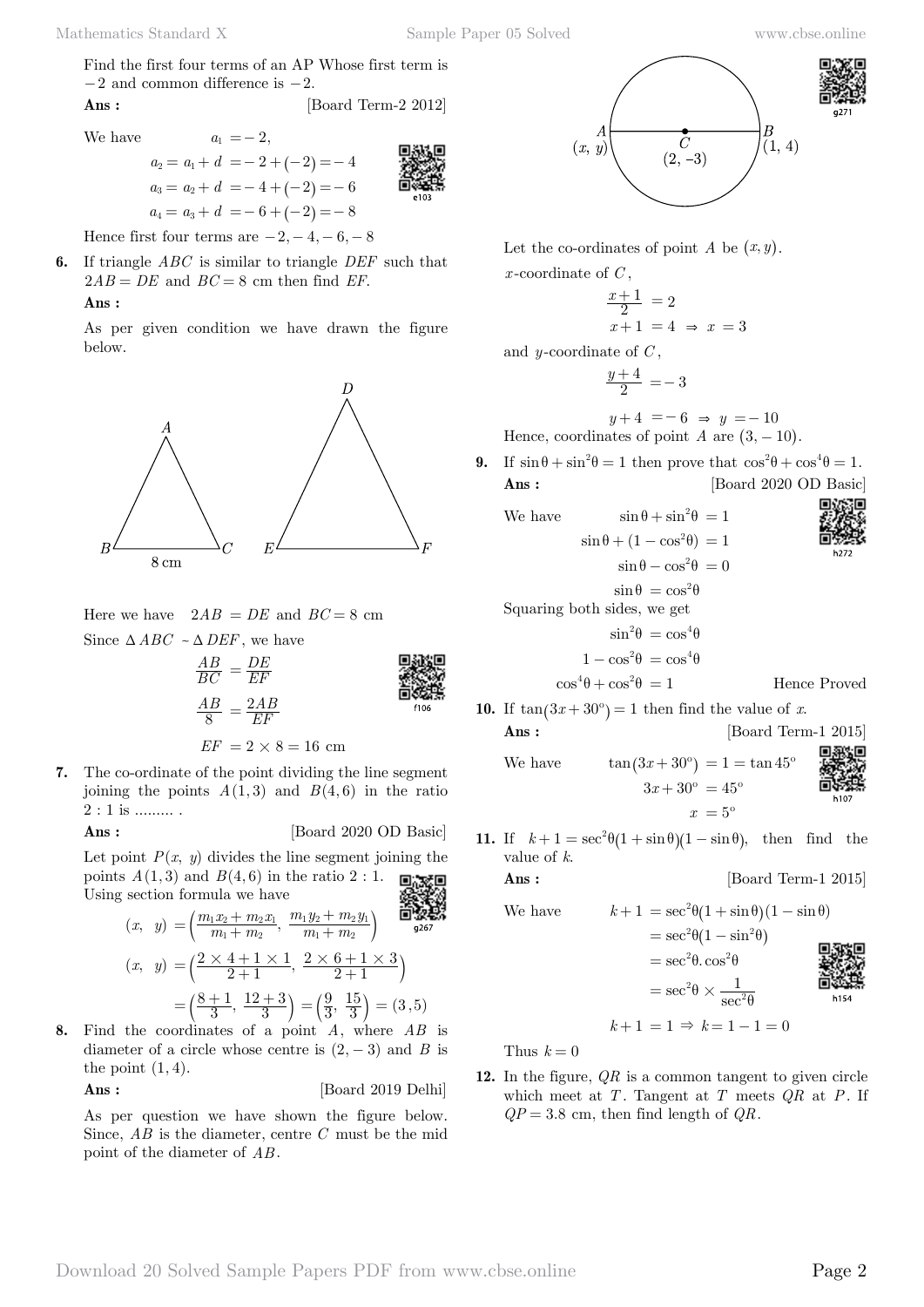Find the first four terms of an AP Whose first term is  $-2$  and common difference is  $-2$ .

**Ans :** [Board Term-2 2012]

We have 
$$
a_1 = -2
$$
,  
\n $a_2 = a_1 + d = -2 + (-2) = -4$   
\n $a_3 = a_2 + d = -4 + (-2) = -6$   
\n $a_4 = a_3 + d = -6 + (-2) = -8$ 

Hence first four terms are  $-2, -4, -6, -8$ 

**6.** If triangle *ABC* is similar to triangle *DEF* such that  $2AB = DE$  and  $BC = 8$  cm then find *EF*.  **Ans :**

As per given condition we have drawn the figure below.



Here we have  $2AB = DE$  and  $BC = 8$  cm Since  $\triangle ABC \sim \triangle DEF$ , we have

$$
\frac{AB}{BC} = \frac{DE}{EF}
$$
\n
$$
\frac{AB}{8} = \frac{2AB}{EF}
$$
\n
$$
\frac{AB}{100} = \frac{2AB}{EF}
$$
\n
$$
\frac{1}{100}
$$

$$
EF = 2 \times 8 = 16 \text{ cm}
$$

**7.** The co-ordinate of the point dividing the line segment joining the points  $A(1,3)$  and  $B(4,6)$  in the ratio  $2:1$  is ............

**Ans :** [Board 2020 OD Basic]

Let point  $P(x, y)$  divides the line segment joining the points  $A(1,3)$  and  $B(4,6)$  in the ratio 2 : 1. 回旋器回 Using section formula we have

$$
(x, y) = \left(\frac{m_1x_2 + m_2x_1}{m_1 + m_2}, \frac{m_1y_2 + m_2y_1}{m_1 + m_2}\right)
$$
  

$$
(x, y) = \left(\frac{2 \times 4 + 1 \times 1}{2 + 1}, \frac{2 \times 6 + 1 \times 3}{2 + 1}\right)
$$
  

$$
= \left(\frac{8 + 1}{3}, \frac{12 + 3}{3}\right) = \left(\frac{9}{3}, \frac{15}{3}\right) = (3, 5)
$$

**8.** Find the coordinates of a point *A*, where *AB* is diameter of a circle whose centre is  $(2, -3)$  and *B* is the point  $(1, 4)$ .

**Ans :** [Board 2019 Delhi]

As per question we have shown the figure below. Since, *AB* is the diameter, centre *C* must be the mid point of the diameter of *AB* .



Let the co-ordinates of point *A* be  $(x, y)$ . *x* -coordinate of *C* ,

$$
\frac{x+1}{2} = 2
$$
  

$$
x+1 = 4 \Rightarrow x = 3
$$

and *y* -coordinate of *C* ,

$$
\frac{y+4}{2} = -3
$$

$$
y+4 = -6 \Rightarrow y = -10
$$

Hence, coordinates of point  $A$  are  $(3, -10)$ .

**9.** If  $\sin \theta + \sin^2 \theta = 1$  then prove that  $\cos^2 \theta + \cos^4 \theta = 1$ . **Ans :** [Board 2020 OD Basic]

We have 
$$
\sin \theta + \sin^2 \theta = 1
$$

$$
\sin \theta + (1 - \cos^2 \theta) = 1
$$

$$
\sin \theta - \cos^2 \theta = 0
$$

$$
\sin \theta = \cos^2 \theta
$$

$$
\text{Squaring both sides, we get}
$$

$$
\sin^2 \theta = \cos^4 \theta
$$

$$
1 - \cos^2 \theta = \cos^4 \theta
$$

 $\cos^4\theta + \cos^2\theta = 1$  Hence Proved

**10.** If 
$$
\tan(3x + 30^{\circ}) = 1
$$
 then find the value of *x*.

**Ans :** [Board Term-1 2015]

We have  $\tan(3x + 30^{\circ}) = 1 = \tan 45^{\circ}$  $3x + 30^{\circ} = 45^{\circ}$  $x = 5^{\circ}$ 

**11.** If  $k+1 = \sec^2\theta (1 + \sin \theta)(1 - \sin \theta)$ , then find the value of *k*.

$$
Ans : \qquad \qquad [\text{Board Term-1 2015}]
$$

We have  
\n
$$
k+1 = \sec^2\theta (1 + \sin \theta)(1 - \sin \theta)
$$
\n
$$
= \sec^2\theta (1 - \sin^2\theta)
$$
\n
$$
= \sec^2\theta \cdot \cos^2\theta
$$
\n
$$
= \sec^2\theta \times \frac{1}{\sec^2\theta}
$$



 $h10$ 

Thus  $k = 0$ 

**12.** In the figure, *QR* is a common tangent to given circle which meet at  $T$ . Tangent at  $T$  meets  $QR$  at  $P$ . If  $QP = 3.8$  cm, then find length of  $QR$ .

 $k+1 = 1 \Rightarrow k = 1-1 = 0$ 

$$
\sum_{\substack{\text{16.5,20}\\ \text{16.5,22}}}^{\infty}
$$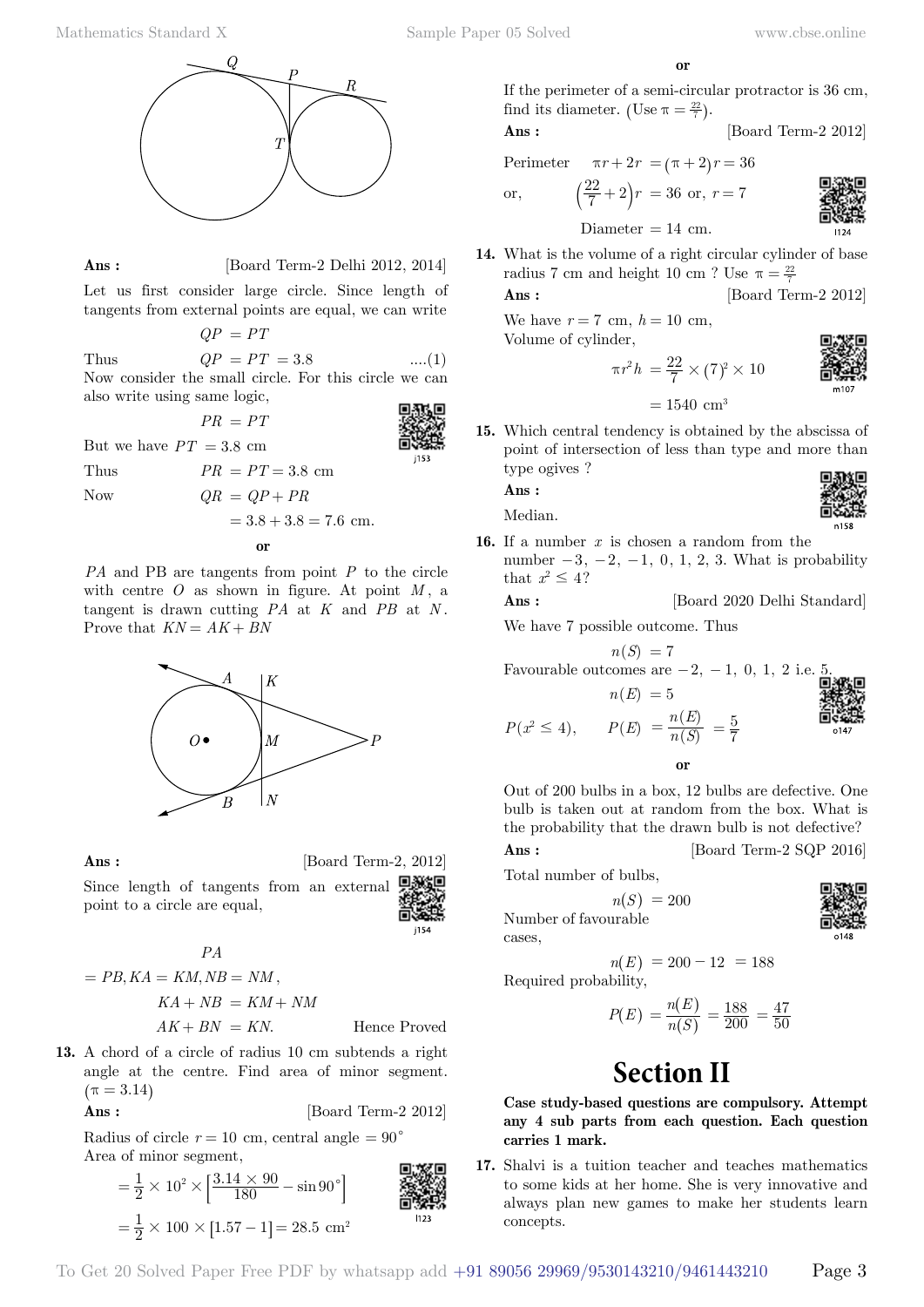Mathematics Standard X Sample Paper 05 Solved [www.cbse.online](http://www.cbse.online)



If the perimeter of a semi-circular protractor is 36 cm, find its diameter. (Use  $\pi = \frac{22}{7}$ ).

**Ans :** [Board Term-2 2012]

Perimeter  $\pi r + 2r = (\pi + 2) r = 36$ 

$$
(88)
$$

or, 
$$
\left(\frac{22}{7} + 2\right)r = 36 \text{ or, } r = 7
$$

Diameter  $= 14$  cm.

**14.** What is the volume of a right circular cylinder of base radius 7 cm and height 10 cm ? Use  $\pi = \frac{22}{7}$ 

**Ans :** [Board Term-2 2012]

We have  $r = 7$  cm,  $h = 10$  cm, Volume of cylinder,



$$
= 1540 \, \text{ cm}^3
$$

 $\pi r^2 h = \frac{22}{7} \times (7)^2 \times 10$ 

**15.** Which central tendency is obtained by the abscissa of point of intersection of less than type and more than type ogives ?

 **Ans :**

i153

Median.

$$
\mathcal{E}^{\mathcal{E}}_{\mathcal{E}^{\mathcal{E}}_{\mathcal{E}}}
$$

**16.** If a number *x* is chosen a random from the number  $-3, -2, -1, 0, 1, 2, 3$ . What is probability that  $x^2 \leq 4$ ?

 **Ans :** [Board 2020 Delhi Standard]

We have 7 possible outcome. Thus

$$
n(S) = 7
$$
  
Favourable outcomes are -2, -1, 0, 1, 2 i.e. 5.  

$$
n(E) = 5
$$

$$
P(x^2 \le 4), \qquad P(E) = \frac{n(E)}{n(S)} = \frac{5}{7}
$$

 **o**

Out of 200 bulbs in a box, 12 bulbs are defective. One bulb is taken out at random from the box. What is the probability that the drawn bulb is not defective?

**Ans :** [Board Term-2 SQP 2016]

Total number of bulbs,

 $n(S) = 200$ Number of favourable

cases,

 $n(E) = 200 - 12 = 188$ Required probability,

$$
P(E) = \frac{n(E)}{n(S)} = \frac{188}{200} = \frac{47}{50}
$$

# **Section II**

**Case study-based questions are compulsory. Attempt any 4 sub parts from each question. Each question carries 1 mark.**

**17.** Shalvi is a tuition teacher and teaches mathematics to some kids at her home. She is very innovative and always plan new games to make her students learn concepts.



# **Ans :** [Board Term-2 Delhi 2012, 2014]

Let us first consider large circle. Since length of tangents from external points are equal, we can write

$$
QP = PT
$$

 $PR = PT$ 

Thus  $QP = PT = 3.8$  ....(1) Now consider the small circle. For this circle we can also write using same logic,

But we have  $PT = 3.8$  cm

Thus  $PR = PT = 3.8$  cm

Now  $QR = QP + PR$ 

$$
= 3.8 + 3.8 = 7.6
$$
 cm.

$$
\mathbf{or} \\
$$

*PA* and PB are tangents from point *P* to the circle with centre  $O$  as shown in figure. At point  $M$ , a tangent is drawn cutting *PA* at *K* and *PB* at *N* . Prove that  $KN = AK + BN$ 



**Ans :** [Board Term-2, 2012]

Since length of tangents from an external point to a circle are equal,

*PA*

$$
= PB, KA = KM, NB = NM,
$$
  

$$
KA + NB = KM + NM
$$
  

$$
AK + BN = KN.
$$
Hence Proved

**13.** A chord of a circle of radius 10 cm subtends a right angle at the centre. Find area of minor segment.  $(\pi = 3.14)$ 

$$
`_{{\bf n}{\bf s}}:
$$

$$
Ans: \qquad \qquad [\text{Board Term-2 2012}]
$$

Radius of circle  $r = 10$  cm, central angle  $= 90^{\circ}$ Area of minor segment,

$$
= \frac{1}{2} \times 10^{2} \times \left[\frac{3.14 \times 90}{180} - \sin 90^{\circ}\right]
$$
  
=  $\frac{1}{2} \times 100 \times [1.57 - 1] = 28.5$  cm<sup>2</sup>

To Get 20 Solved Paper Free PDF by whatsapp add +91 89056 29969/9530143210/9461443210 Page 3

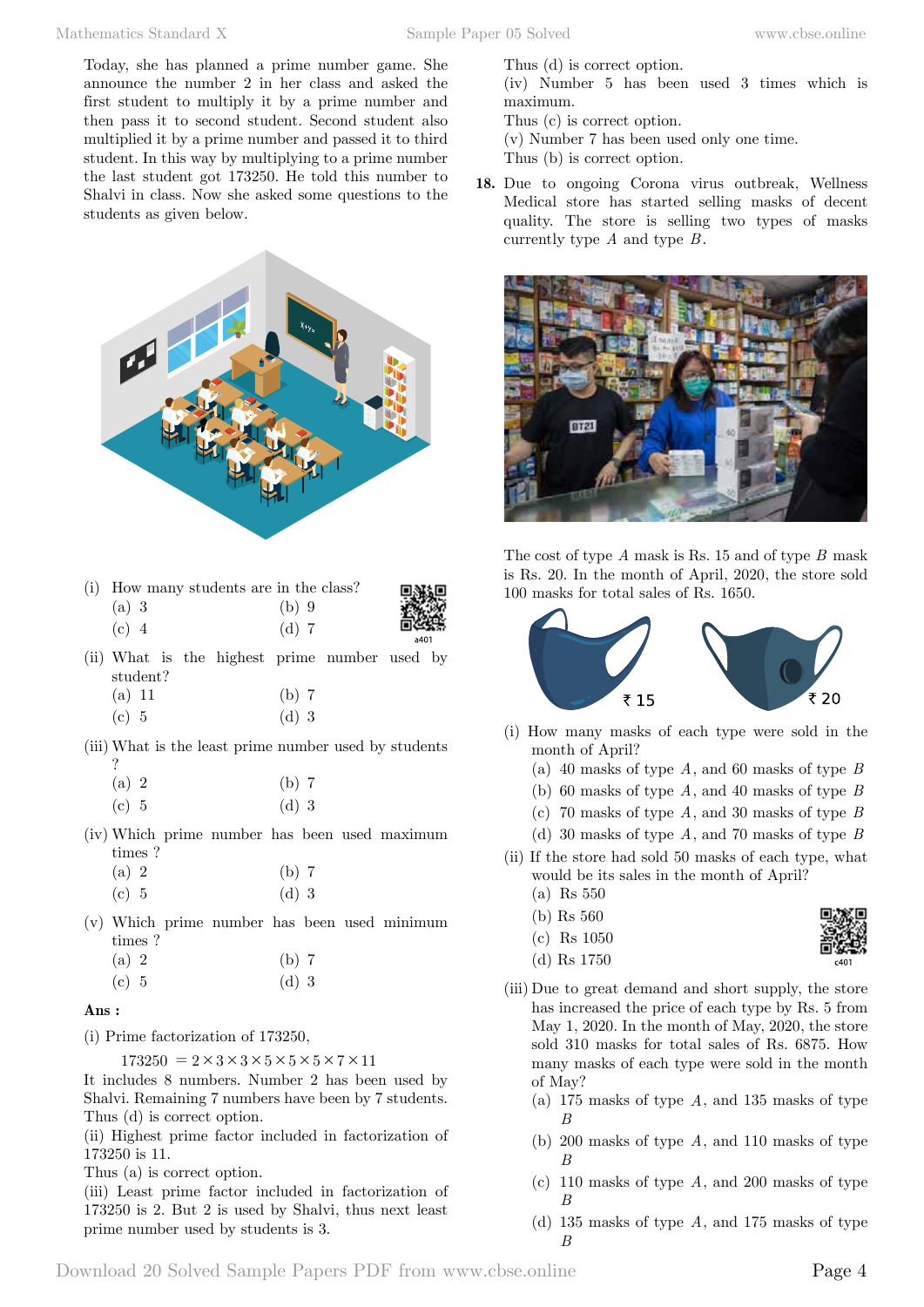Today, she has planned a prime number game. She announce the number 2 in her class and asked the first student to multiply it by a prime number and then pass it to second student. Second student also multiplied it by a prime number and passed it to third student. In this way by multiplying to a prime number the last student got 173250. He told this number to Shalvi in class. Now she asked some questions to the students as given below.



| (i) How many students are in the class? |         |      |
|-----------------------------------------|---------|------|
| $(a)$ 3                                 | $(b)$ 9 | SK.  |
| $(c)$ 4                                 | $(d)$ 7 |      |
|                                         |         | a401 |

(ii) What is the highest prime number used by student?

| $(a)$ 11 | $(b)$ 7 |  |
|----------|---------|--|
| (c) 5    | $(d)$ 3 |  |

(iii) What is the least prime number used by students ?

| (a) 2 | (b) 7   |  |
|-------|---------|--|
| (c) 5 | $(d)$ 3 |  |

(iv) Which prime number has been used maximum times ?

| (a) 2 | $(b)$ 7 |
|-------|---------|
| (c) 5 | $(d)$ 3 |

(v) Which prime number has been used minimum times ?

| (a) 2 | (b) 7   |  |
|-------|---------|--|
| (c) 5 | $(d)$ 3 |  |

# **Ans :**

(i) Prime factorization of 173250,

 $173250 = 2 \times 3 \times 3 \times 5 \times 5 \times 5 \times 7 \times 11$ 

It includes 8 numbers. Number 2 has been used by Shalvi. Remaining 7 numbers have been by 7 students. Thus (d) is correct option.

(ii) Highest prime factor included in factorization of 173250 is 11.

Thus (a) is correct option.

(iii) Least prime factor included in factorization of 173250 is 2. But 2 is used by Shalvi, thus next least prime number used by students is 3.

Thus (d) is correct option. (iv) Number 5 has been used 3 times which is maximum. Thus (c) is correct option.

(v) Number 7 has been used only one time.

Thus (b) is correct option.

**18.** Due to ongoing Corona virus outbreak, Wellness Medical store has started selling masks of decent quality. The store is selling two types of masks currently type *A* and type *B* .



The cost of type *A* mask is Rs. 15 and of type *B* mask is Rs. 20. In the month of April, 2020, the store sold 100 masks for total sales of Rs. 1650.



- (i) How many masks of each type were sold in the month of April?
	- (a) 40 masks of type *A*, and 60 masks of type *B*
	- (b) 60 masks of type *A*, and 40 masks of type *B*
	- (c) 70 masks of type *A*, and 30 masks of type *B*
	- (d) 30 masks of type *A*, and 70 masks of type *B*
- (ii) If the store had sold 50 masks of each type, what would be its sales in the month of April?
	- (a) Rs 550
	- (b) Rs 560
	- (c) Rs 1050



- (iii) Due to great demand and short supply, the store has increased the price of each type by Rs. 5 from May 1, 2020. In the month of May, 2020, the store sold 310 masks for total sales of Rs. 6875. How many masks of each type were sold in the month of May?
	- (a) 175 masks of type *A*, and 135 masks of type *B*
	- (b) 200 masks of type *A*, and 110 masks of type *B*
	- (c) 110 masks of type *A*, and 200 masks of type *B*
	- (d) 135 masks of type *A*, and 175 masks of type *B*

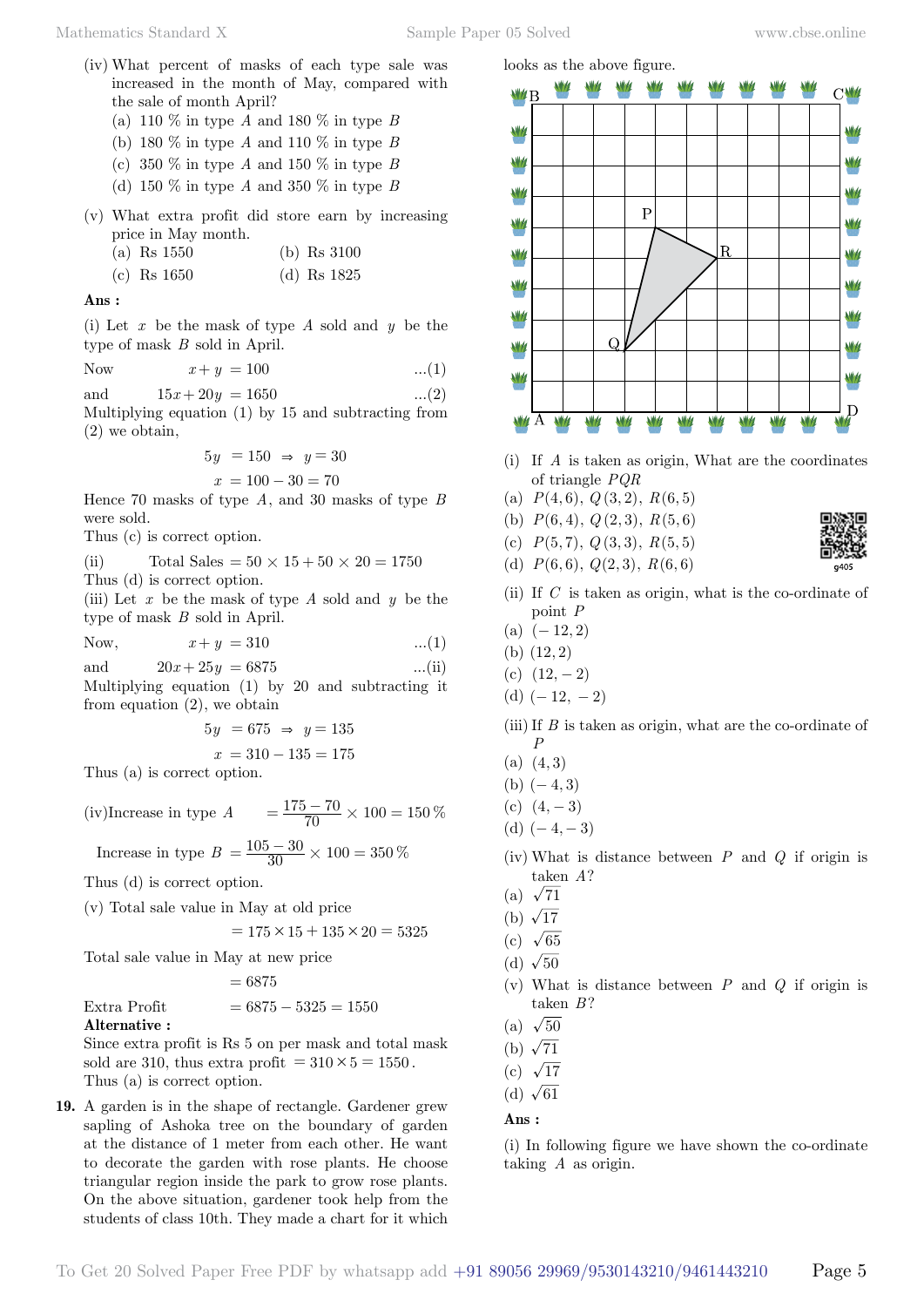- (iv) What percent of masks of each type sale was increased in the month of May, compared with the sale of month April?
	- (a) 110 % in type *A* and 180 % in type *B*
	- (b) 180 % in type *A* and 110 % in type *B*
	- (c) 350 % in type *A* and 150 % in type *B*
	- (d) 150 % in type *A* and 350 % in type *B*
- (v) What extra profit did store earn by increasing price in May month.
	- (a) Rs 1550 (b) Rs 3100
	- (c) Rs 1650 (d) Rs 1825

### **Ans :**

(i) Let *x* be the mask of type *A* sold and *y* be the type of mask *B* sold in April.

Now 
$$
x + y = 100 \qquad \qquad \dots (1)
$$

and  $15x + 20y = 1650$  ...(2)

Multiplying equation (1) by 15 and subtracting from (2) we obtain,

$$
5y = 150 \Rightarrow y = 30
$$

$$
x = 100 - 30 = 70
$$

Hence 70 masks of type *A*, and 30 masks of type *B* were sold.

Thus (c) is correct option.

- (ii) Total Sales =  $50 \times 15 + 50 \times 20 = 1750$
- Thus (d) is correct option.

(iii) Let *x* be the mask of type *A* sold and *y* be the type of mask *B* sold in April.

Now, 
$$
x + y = 310
$$
 ...(1)

and  $20x + 25y = 6875$  ...(ii) Multiplying equation (1) by 20 and subtracting it from equation (2), we obtain

$$
5y = 675 \Rightarrow y = 135
$$

$$
x = 310 - 135 = 175
$$

Thus (a) is correct option.

(iv)Increase in type 
$$
A = \frac{175 - 70}{70} \times 100 = 150\%
$$

Increase in type  $B = \frac{105 - 30}{30} \times 100 = 350\%$ 

Thus (d) is correct option.

(v) Total sale value in May at old price

$$
= 175 \times 15 + 135 \times 20 = 5325
$$

Total sale value in May at new price

 $= 6875$ 

# Extra Profit  $= 6875 - 5325 = 1550$ **Alternative :**

Since extra profit is Rs 5 on per mask and total mask sold are 310, thus extra profit  $= 310 \times 5 = 1550$ . Thus (a) is correct option.

**19.** A garden is in the shape of rectangle. Gardener grew sapling of Ashoka tree on the boundary of garden at the distance of 1 meter from each other. He want to decorate the garden with rose plants. He choose triangular region inside the park to grow rose plants. On the above situation, gardener took help from the students of class 10th. They made a chart for it which



- (i) If *A* is taken as origin, What are the coordinates of triangle *PQR*
- (a)  $P(4,6), Q(3,2), R(6,5)$
- (b)  $P(6, 4), Q(2, 3), R(5, 6)$
- (c)  $P(5,7), Q(3,3), R(5,5)$
- (d)  $P(6,6), Q(2,3), R(6,6)$
- 
- (ii) If *C* is taken as origin, what is the co-ordinate of point *P*
- $(a) (-12, 2)$
- $(b)$   $(12, 2)$
- (c)  $(12, -2)$
- (d)  $(-12, -2)$
- (iii)If *B* is taken as origin, what are the co-ordinate of *P*
- $(a) (4, 3)$
- $(b) (-4, 3)$
- $(c)$   $(4, -3)$
- (d)  $(-4, -3)$
- (iv) What is distance between *P* and *Q* if origin is taken *A*?
- (a)  $\sqrt{71}$
- (b)  $\sqrt{17}$
- (c)  $\sqrt{65}$
- (d)  $\sqrt{50}$
- (v) What is distance between *P* and *Q* if origin is taken *B* ?
- (a)  $\sqrt{50}$
- (b)  $\sqrt{71}$
- (c)  $\sqrt{17}$
- (d)  $\sqrt{61}$

# **Ans :**

(i) In following figure we have shown the co-ordinate taking *A* as origin.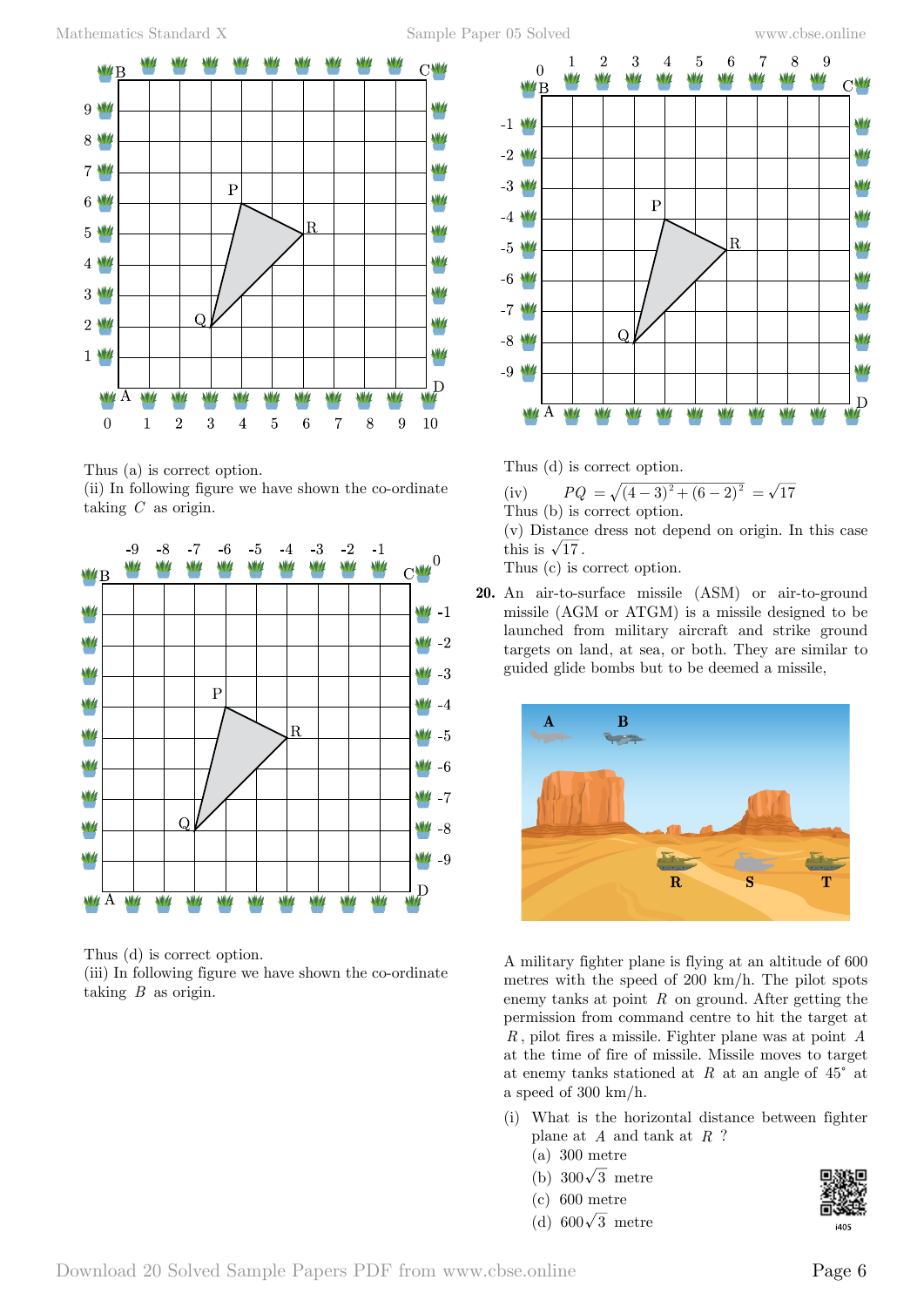

Thus (a) is correct option.

(ii) In following figure we have shown the co-ordinate taking *C* as origin.



Thus (d) is correct option. (iii) In following figure we have shown the co-ordinate taking *B* as origin.



Thus (d) is correct option.

(iv)  $PQ = \sqrt{(4-3)^2 + (6-2)^2} = \sqrt{17}$ Thus (b) is correct option.

(v) Distance dress not depend on origin. In this case this is  $\sqrt{17}$ .

Thus (c) is correct option.

**20.** An air-to-surface missile (ASM) or air-to-ground missile (AGM or ATGM) is a missile designed to be launched from military aircraft and strike ground targets on land, at sea, or both. They are similar to guided glide bombs but to be deemed a missile,



A military fighter plane is flying at an altitude of 600 metres with the speed of 200 km/h. The pilot spots enemy tanks at point *R* on ground. After getting the permission from command centre to hit the target at *R* , pilot fires a missile. Fighter plane was at point *A* at the time of fire of missile. Missile moves to target at enemy tanks stationed at  $R$  at an angle of  $45^{\circ}$  at a speed of 300 km/h.

- (i) What is the horizontal distance between fighter plane at *A* and tank at *R* ?
	- (a) 300 metre
	- (b)  $300\sqrt{3}$  metre
	- (c) 600 metre
	- (d) 600 $\sqrt{3}$  metre

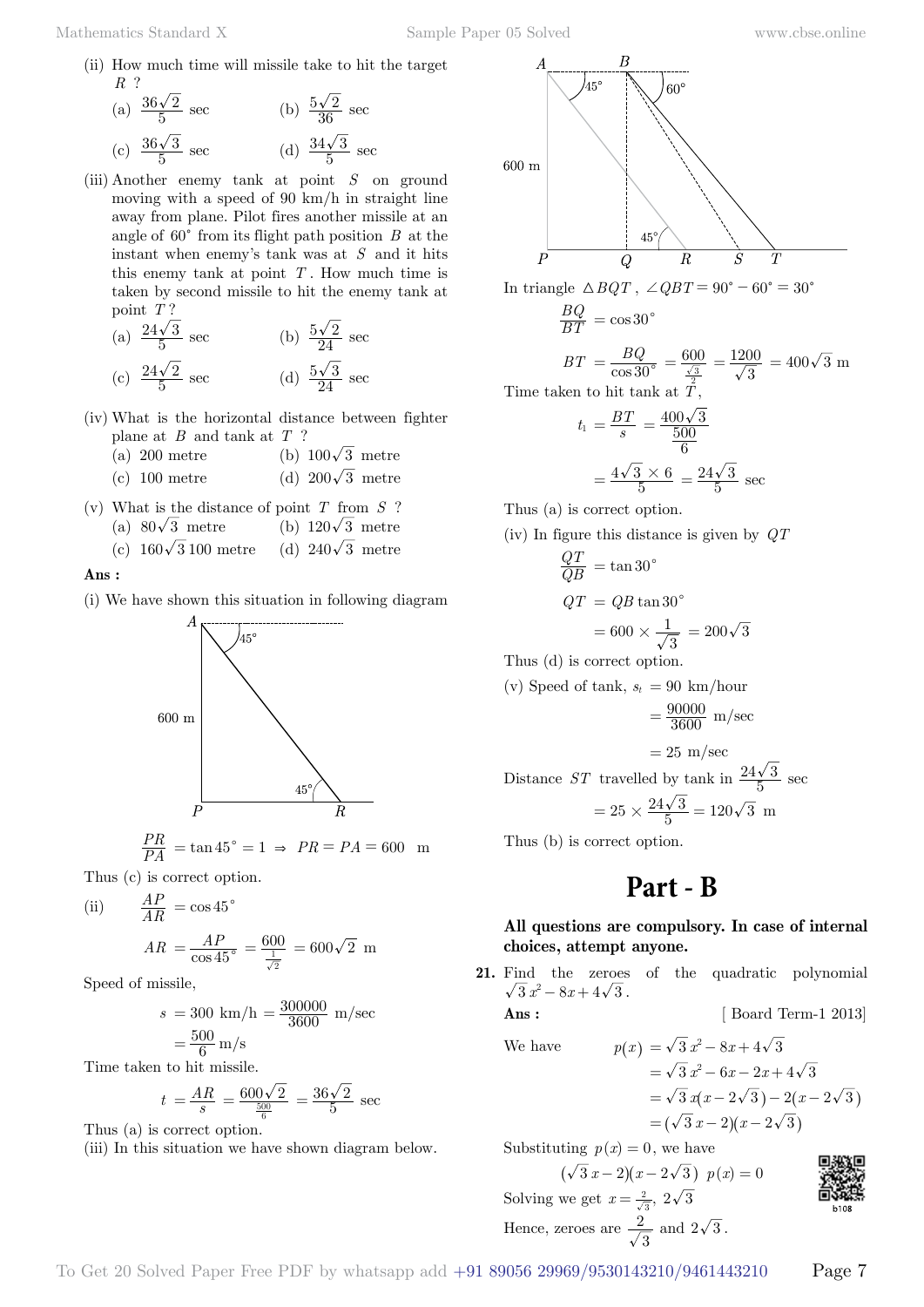(a) 
$$
\frac{36\sqrt{2}}{5}
$$
 sec  
\n(b)  $\frac{5\sqrt{2}}{36}$  sec  
\n(c)  $\frac{36\sqrt{3}}{5}$  sec  
\n(d)  $\frac{34\sqrt{3}}{5}$  sec

(iii) Another enemy tank at point *S* on ground moving with a speed of 90 km/h in straight line away from plane. Pilot fires another missile at an angle of  $60^{\circ}$  from its flight path position *B* at the instant when enemy's tank was at *S* and it hits this enemy tank at point *T* . How much time is taken by second missile to hit the enemy tank at point *T* ?

(a) 
$$
\frac{24\sqrt{3}}{5}
$$
 sec  
\n(b)  $\frac{5\sqrt{2}}{24}$  sec  
\n(c)  $\frac{24\sqrt{2}}{5}$  sec  
\n(d)  $\frac{5\sqrt{3}}{24}$  sec

- (iv) What is the horizontal distance between fighter plane at *B* and tank at *T* ?
	- (a) 200 metre (b)  $100\sqrt{3}$  metre
	- (c) 100 metre (d)  $200\sqrt{3}$  metre
- (v) What is the distance of point *T* from *S* ? (a)  $80\sqrt{3}$  metre (b)  $120\sqrt{3}$  metre
	- (c)  $160\sqrt{3}100$  metre (d)  $240\sqrt{3}$  metre

## **Ans :**

(i) We have shown this situation in following diagram



 $\frac{PR}{PA}$  = tan 45° = 1  $\Rightarrow PR = PA = 600$  m

Thus (c) is correct option.

(ii) 
$$
\frac{AP}{AR} = \cos 45^{\circ}
$$
  
\n $AR = \frac{AP}{\cos 45^{\circ}} = \frac{600}{\frac{1}{\sqrt{2}}} = 600\sqrt{2} \text{ m}$ 

Speed of missile,

$$
s = 300 \text{ km/h} = \frac{300000}{3600} \text{ m/sec}
$$
  
=  $\frac{500}{6} \text{ m/s}$ 

Time taken to hit missile.

$$
t = \frac{AR}{s} = \frac{600\sqrt{2}}{\frac{500}{6}} = \frac{36\sqrt{2}}{5}
$$
 sec

Thus (a) is correct option.

(iii) In this situation we have shown diagram below.



In triangle 
$$
\triangle BQT
$$
,  $\angle QBT = 90^{\circ} - 60^{\circ} = 30^{\circ}$ 

$$
\frac{BQ}{BT} = \cos 30^{\circ}
$$

$$
BT = \frac{BQ}{\cos 30^{\circ}} = \frac{600}{\frac{\sqrt{3}}{2}} = \frac{1200}{\sqrt{3}} = 400\sqrt{3} \text{ m}
$$

Time taken to hit tank at  $\hat{\vec{T}}$ ,

$$
t_1 = \frac{BT}{s} = \frac{400\sqrt{3}}{500}
$$

$$
= \frac{4\sqrt{3} \times 6}{5} = \frac{24\sqrt{3}}{5} \text{ sec}
$$

Thus (a) is correct option.

(iv) In figure this distance is given by *QT*

$$
\frac{QT}{QB} = \tan 30^{\circ}
$$
  

$$
QT = QB \tan 30^{\circ}
$$
  

$$
= 600 \times \frac{1}{\sqrt{3}} = 200\sqrt{3}
$$
  
Thus (d) is correct option.

Thus  $(d)$  $(v)$  S<sub>1</sub>

$$
speed of tank, s_t = 90 km/nour
$$

$$
=\frac{90000}{3600} \text{ m/sec}
$$

 $= 25$  m/sec Distance *ST* travelled by tank in  $\frac{24\sqrt{3}}{5}$  sec

$$
= 25 \times \frac{24\sqrt{3}}{5} = 120\sqrt{3}
$$
 m

Thus (b) is correct option.

# **Part - B**

# **All questions are compulsory. In case of internal choices, attempt anyone.**

**21.** Find the zeroes of the quadratic polynomial  $\sqrt{3} x^2 - 8x + 4\sqrt{3}$ .

**Ans :** [ Board Term-1 2013]

We have  $p(x)$ 

We have 
$$
p(x) = \sqrt{3}x^2 - 8x + 4\sqrt{3}
$$

$$
= \sqrt{3}x^2 - 6x - 2x + 4\sqrt{3}
$$

$$
= \sqrt{3}x(x - 2\sqrt{3}) - 2(x - 2\sqrt{3})
$$

$$
= (\sqrt{3}x - 2)(x - 2\sqrt{3})
$$

Substituting  $p(x) = 0$ , we have  $(\sqrt{3} x - 2)(x - 2\sqrt{3})$   $p(x) = 0$ Solving we get  $x = \frac{2}{\sqrt{3}}$ ,  $2\sqrt{3}$ Hence, zeroes are  $\frac{2}{\sqrt{3}}$  and  $2\sqrt{3}$ .

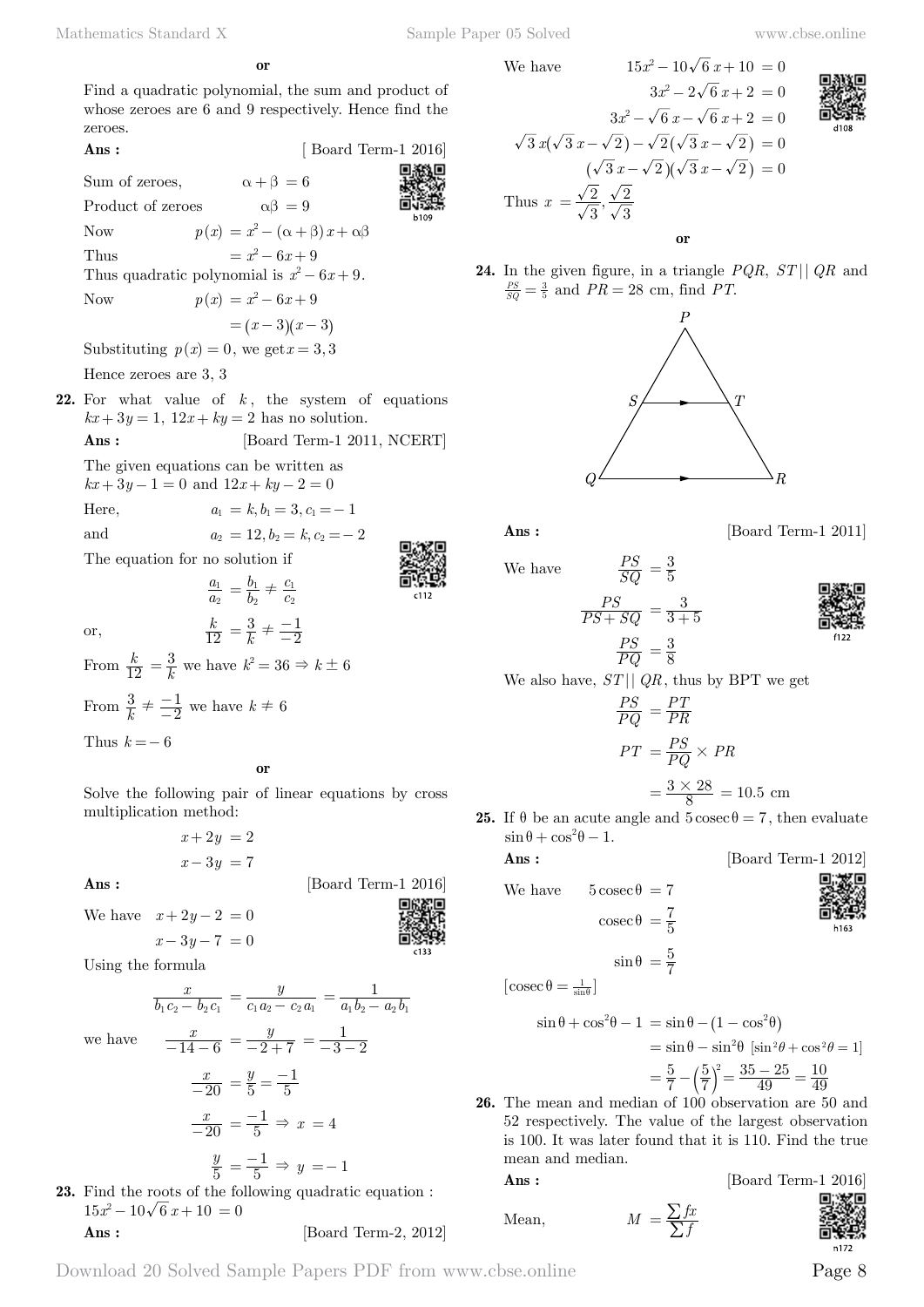**o**

Find a quadratic polynomial, the sum and product of whose zeroes are 6 and 9 respectively. Hence find the zeroes.

**Ans :** [ Board Term-1 2016] Sum of zeroes,  $\alpha + \beta = 6$ Product of zeroes  $\alpha\beta = 9$ Now  $p(x) = x^2 - (\alpha + \beta)x + \alpha\beta$ Thus  $= x^2 - 6x + 9$ Thus quadratic polynomial is  $x^2 - 6x + 9$ . Now  $p(x) = x^2 - 6x + 9$  $=(x - 3)(x - 3)$ Substituting  $p(x) = 0$ , we get  $x = 3, 3$ Hence zeroes are 3, 3 **22.** For what value of  $k$ , the system of equations

 $kx + 3y = 1$ ,  $12x + ky = 2$  has no solution.

 **Ans :** [Board Term-1 2011, NCERT]

The given equations can be written as

 $kx + 3y - 1 = 0$  and  $12x + ky - 2 = 0$ Here,  $a_1 = k, b_1 = 3, c_1 = -1$ 

and  $a_2 = 12, b_2 = k, c_2 = -2$ 

The equation for no solution if



or,

or,  
\n
$$
\frac{k}{12} = \frac{3}{k} \neq \frac{-1}{-2}
$$
\nFrom  $\frac{k}{12} = \frac{3}{k}$  we have  $k^2 = 36 \Rightarrow k \pm 6$   
\nFrom  $\frac{3}{k} \neq \frac{-1}{-2}$  we have  $k \neq 6$   
\nThus  $k = -6$ 

*a a* 2  $\frac{1}{2} = \frac{b}{b}$ *b*

*k*

 **o**

*c c*

2  $^{\prime}$ <sub>1</sub>  $=\frac{b_1}{b_2}\neq \frac{c_1}{c_2}$ 

Solve the following pair of linear equations by cross multiplication method:

$$
x + 2y = 2
$$

$$
x - 3y = 7
$$

**Ans :** [Board Term-1 2016]

we have

We have 
$$
x + 2y - 2 = 0
$$
  
\n $x - 3y - 7 = 0$ 

Using the formula

$$
\frac{x}{b_1c_2 - b_2c_1} = \frac{y}{c_1a_2 - c_2a_1} = \frac{1}{a_1b_2 - a_2b_1}
$$

$$
\frac{x}{-14 - 6} = \frac{y}{-2 + 7} = \frac{1}{-3 - 2}
$$

$$
\frac{x}{-20} = \frac{y}{5} = \frac{-1}{5}
$$

$$
\frac{x}{-20} = \frac{-1}{5} \Rightarrow x = 4
$$

$$
\frac{y}{5} = \frac{-1}{5} \Rightarrow y = -1
$$

**23.** Find the roots of the following quadratic equation :  $15x^2 - 10\sqrt{6} x + 10 = 0$ **Ans :** [Board Term-2, 2012] We have  $15x^2 - 10\sqrt{6}x + 10 = 0$ 



$$
3x^{2} - 2\sqrt{6} x + 2 = 0
$$
  

$$
3x^{2} - \sqrt{6} x - \sqrt{6} x + 2 = 0
$$
  

$$
\sqrt{3} x(\sqrt{3} x - \sqrt{2}) - \sqrt{2}(\sqrt{3} x - \sqrt{2}) = 0
$$
  

$$
(\sqrt{3} x - \sqrt{2})(\sqrt{3} x - \sqrt{2}) = 0
$$
  
Thus  $x = \frac{\sqrt{2}}{\sqrt{3}}, \frac{\sqrt{2}}{\sqrt{3}}$ 

**24.** In the given figure, in a triangle *PQR*, *ST* || *QR* and  $\frac{PS}{SQ} = \frac{3}{5}$  and  $PR = 28$  cm, find *PT*.

 **o**



We have



$$
\frac{PS}{SQ} = \frac{3}{5}
$$

$$
\frac{PS}{PS + SQ} = \frac{3}{3+5}
$$

$$
\frac{PS}{PQ} = \frac{3}{8}
$$

*PS*



We also have, *ST* || *QR*, thus by BPT we get

 $\overline{3}$ 

$$
\frac{PS}{PQ} = \frac{PT}{PR}
$$

$$
PT = \frac{PS}{PQ} \times PR
$$

$$
= \frac{3 \times 28}{8} = 10.5 \text{ cm}
$$

**25.** If  $\theta$  be an acute angle and  $5 \csc \theta = 7$ , then evaluate  $\sin \theta + \cos^2 \theta - 1$ .

**Ans :** 
$$
[Board Term-1 2012]
$$

We have 
$$
5 \csc \theta = 7
$$
  
 $\csc \theta = \frac{7}{5}$   
 $\sin \theta = \frac{5}{7}$ 

 $\left[\csc \theta = \frac{1}{\sin \theta}\right]$ 

$$
\sin \theta + \cos^2 \theta - 1 = \sin \theta - (1 - \cos^2 \theta)
$$
  
=  $\sin \theta - \sin^2 \theta [\sin^2 \theta + \cos^2 \theta = 1]$   
=  $\frac{5}{7} - (\frac{5}{7})^2 = \frac{35 - 25}{49} = \frac{10}{49}$ 

**26.** The mean and median of 100 observation are 50 and 52 respectively. The value of the largest observation is 100. It was later found that it is 110. Find the true mean and median.

$$
\ln\!\mathrm{s}:
$$

**Ans :** [Board Term-1 2016]

Mean, 
$$
M = \frac{\sum fx}{\sum f}
$$



Download 20 Solved Sample Papers PDF from [www.cbse.online](http://www.cbse.online) Page 8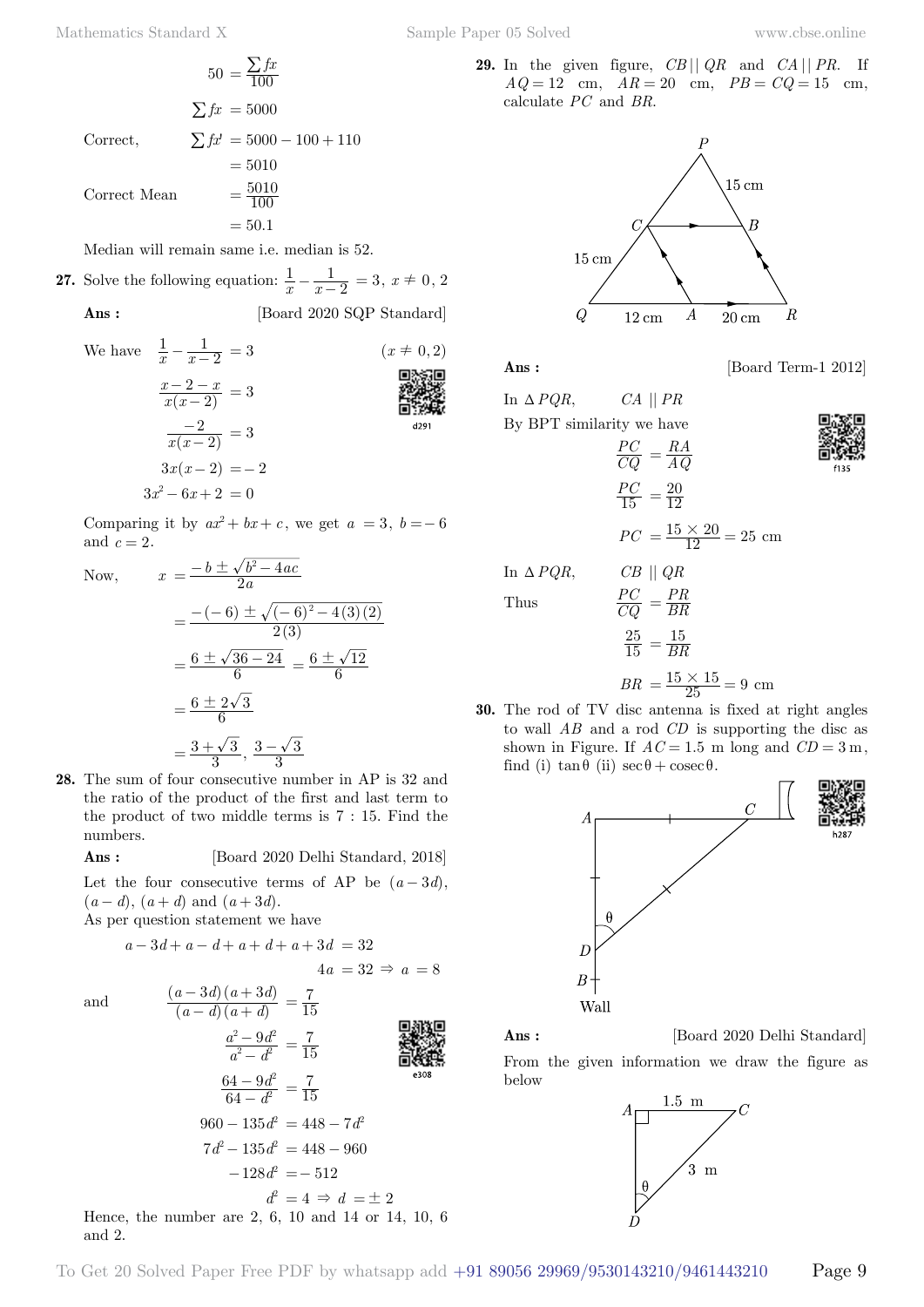$$
50 = \frac{\sum fx}{100}
$$

$$
\sum fx = 5000
$$

$$
\text{Correct}, \qquad \sum fx' = 5000 - 100 + 110
$$

$$
= 5010
$$

$$
\text{Correct Mean} = \frac{5010}{100}
$$

Median will remain same i.e. median is 52.

**27.** Solve the following equation: 
$$
\frac{1}{x} - \frac{1}{x-2} = 3, x \neq 0, 2
$$
 Ans: [Board 2020 SQP Standard]

 $= 50.1$ 

We have 
$$
\frac{1}{x} - \frac{1}{x-2} = 3
$$
  $(x \neq 0, 2)$   
\n $\frac{x-2-x}{x(x-2)} = 3$   
\n $\frac{-2}{x(x-2)} = 3$   
\n $3x(x-2) = -2$   
\n $3x^2 - 6x + 2 = 0$ 

Comparing it by  $ax^2 + bx + c$ , we get  $a = 3$ ,  $b = -6$ and  $c = 2$ .

Now,  
\n
$$
x = \frac{-b \pm \sqrt{b^2 - 4ac}}{2a}
$$
\n
$$
= \frac{-(-6) \pm \sqrt{(-6)^2 - 4(3)(2)}}{2(3)}
$$
\n
$$
= \frac{6 \pm \sqrt{36 - 24}}{6} = \frac{6 \pm \sqrt{12}}{6}
$$
\n
$$
= \frac{6 \pm 2\sqrt{3}}{6}
$$
\n
$$
= \frac{3 + \sqrt{3}}{3}, \frac{3 - \sqrt{3}}{3}
$$

**28.** The sum of four consecutive number in AP is 32 and the ratio of the product of the first and last term to the product of two middle terms is 7 : 15. Find the numbers.

**Ans :** [Board 2020 Delhi Standard, 2018]

Let the four consecutive terms of AP be  $(a - 3d)$ ,  $(a-d), (a+d) \text{ and } (a+3d).$ 

As per question statement we have

$$
a - 3d + a - d + a + d + a + 3d = 32
$$
  

$$
4a = 32 \Rightarrow a = 8
$$

Hence, and 2.

and 
$$
\frac{(a-3d)(a+3d)}{(a-d)(a+d)} = \frac{7}{15}
$$
  
\n
$$
\frac{a^2 - 9d^2}{a^2 - d^2} = \frac{7}{15}
$$
  
\n
$$
\frac{64 - 9d^2}{64 - d^2} = \frac{7}{15}
$$
  
\n
$$
960 - 135d^2 = 448 - 7d^2
$$
  
\n
$$
7d^2 - 135d^2 = 448 - 960
$$
  
\n
$$
-128d^2 = -512
$$
  
\nHence, the number are 2, 6, 10 and 14 or 14, 10, 6  
\nand 2

**29.** In the given figure, *CB* || *QR* and *CA* || *PR*. If  $AQ = 12$  cm,  $AR = 20$  cm,  $PB = CQ = 15$  cm, calculate *PC* and *BR*.



**Ans :** [Board Term-1 2012]

In  $\triangle PQR$ , *CA* || *PR* By BPT similarity we have *CQ PC*  $=$  $\frac{RA}{AQ}$ *PC*  $\frac{PC}{15} = \frac{20}{12}$  $PC = \frac{15 \times 20}{12} = 25$  cm In  $\triangle PQR$ , *CB*  $||QR$ Thus  $\frac{PC}{CQ}$  $\frac{PR}{BR}$ 15 25  $=\frac{15}{BR}$  $BR = \frac{15 \times 15}{25} = 9$  cm

**30.** The rod of TV disc antenna is fixed at right angles to wall *AB* and a rod *CD* is supporting the disc as shown in Figure. If  $AC = 1.5$  m long and  $CD = 3$  m, find (i)  $\tan \theta$  (ii)  $\sec \theta + \csc \theta$ .



**Ans :** [Board 2020 Delhi Standard]

From the given information we draw the figure as below

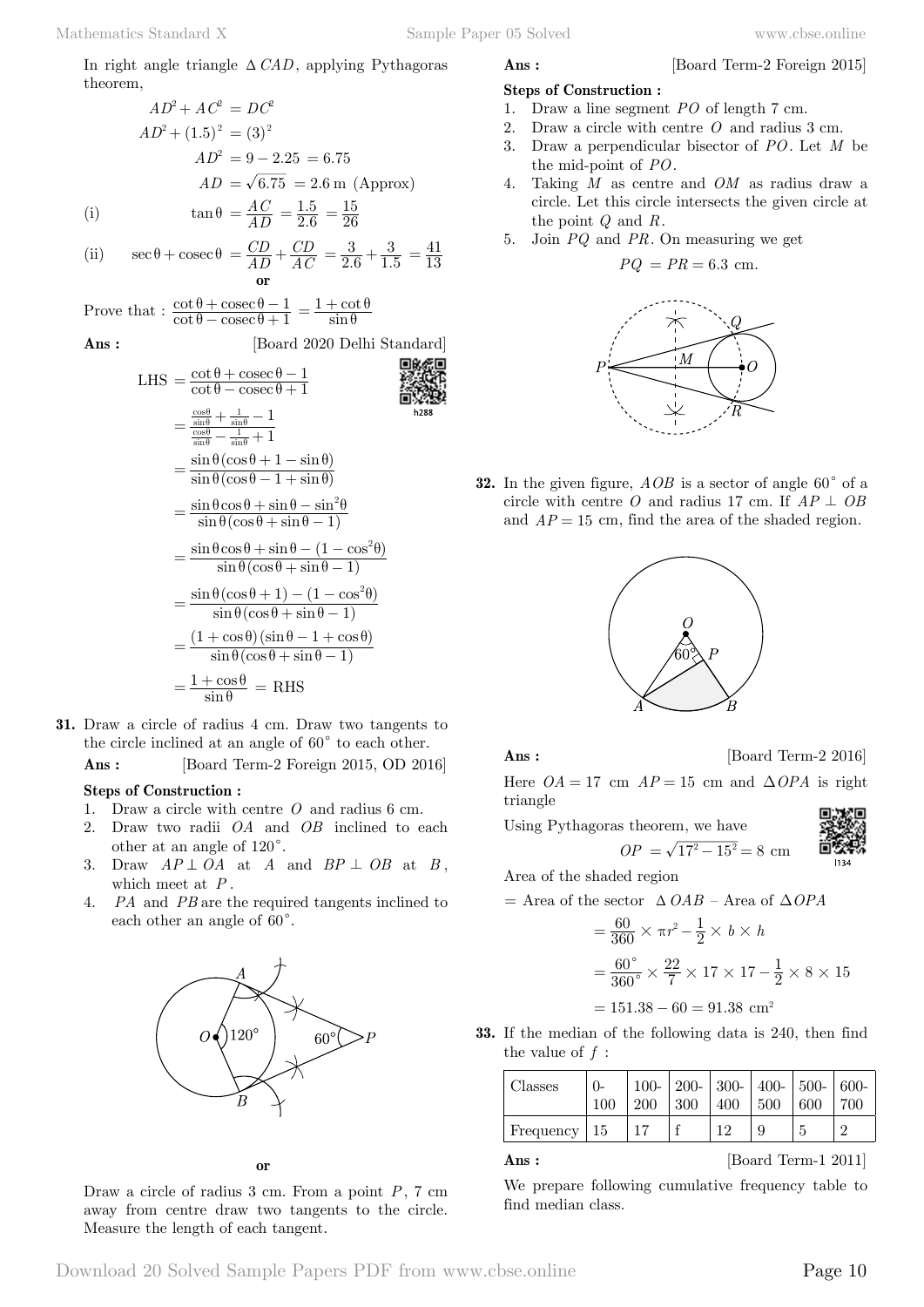In right angle triangle  $\Delta$  *CAD*, applying Pythagoras theorem,

$$
AD^{2} + AC^{2} = DC^{2}
$$
  
\n
$$
AD^{2} + (1.5)^{2} = (3)^{2}
$$
  
\n
$$
AD^{2} = 9 - 2.25 = 6.75
$$
  
\n
$$
AD = \sqrt{6.75} = 2.6 \text{ m (Approx)}
$$
  
\n(ii) 
$$
\tan \theta = \frac{AC}{AD} = \frac{1.5}{2.6} = \frac{15}{26}
$$

(ii) 
$$
\sec \theta + \csc \theta = \frac{CD}{AD} + \frac{CD}{AC} = \frac{3}{2.6} + \frac{3}{1.5} = \frac{41}{13}
$$

Prove that :  $\cot \theta - \csc \theta + 1$  $\cot\theta + \csc\theta \overline{\phantom{0}}$ sin θ  $=\frac{1+\cot\theta}{\sin\theta}$ 

 $\overline{L}$ 

Ans: [Board 2020 Delhi Standard]  
\nLHS = 
$$
\frac{\cot \theta + \csc \theta - 1}{\cot \theta - \csc \theta + 1}
$$
  
\n= $\frac{\frac{\cos \theta}{\sin \theta} + \frac{1}{\sin \theta} - 1}{\frac{\cos \theta}{\sin \theta} - \frac{1}{\sin \theta} + 1}$   
\n= $\frac{\sin \theta (\cos \theta + 1 - \sin \theta)}{\sin \theta (\cos \theta - 1 + \sin \theta)}$   
\n= $\frac{\sin \theta \cos \theta + \sin \theta - \sin^2 \theta}{\sin \theta (\cos \theta + \sin \theta - 1)}$   
\n= $\frac{\sin \theta \cos \theta + \sin \theta - (1 - \cos^2 \theta)}{\sin \theta (\cos \theta + \sin \theta - 1)}$   
\n= $\frac{\sin \theta (\cos \theta + 1) - (1 - \cos^2 \theta)}{\sin \theta (\cos \theta + \sin \theta - 1)}$   
\n= $\frac{(1 + \cos \theta)(\sin \theta - 1 + \cos \theta)}{\sin \theta (\cos \theta + \sin \theta - 1)}$   
\n= $\frac{1 + \cos \theta}{\sin \theta} =$  RHS

**31.** Draw a circle of radius 4 cm. Draw two tangents to the circle inclined at an angle of  $60^{\circ}$  to each other.

 **Ans :** [Board Term-2 Foreign 2015, OD 2016]

### **Steps of Construction :**

- 1. Draw a circle with centre *O* and radius 6 cm.
- 2. Draw two radii *OA* and *OB* inclined to each other at an angle of  $120^{\circ}$ .
- 3. Draw  $AP \perp OA$  at *A* and  $BP \perp OB$  at *B*, which meet at *P* .
- 4. *PA* and *PB* are the required tangents inclined to each other an angle of  $60^{\circ}$ .



 **o**

Draw a circle of radius 3 cm. From a point *P*, 7 cm away from centre draw two tangents to the circle. Measure the length of each tangent.

**Ans :** [Board Term-2 Foreign 2015]

## **Steps of Construction :**

- 1. Draw a line segment *PO* of length 7 cm.
- 2. Draw a circle with centre *O* and radius 3 cm.
- 3. Draw a perpendicular bisector of *PO*. Let *M* be the mid-point of *PO*.
- 4. Taking *M* as centre and *OM* as radius draw a circle. Let this circle intersects the given circle at the point *Q* and *R*.
- 5. Join *PQ* and *PR*. On measuring we get

 $PQ = PR = 6.3$  cm.



**32.** In the given figure,  $AOB$  is a sector of angle  $60^{\circ}$  of a circle with centre *O* and radius 17 cm. If  $AP \perp OB$ and  $AP = 15$  cm, find the area of the shaded region.



[Board Term-2 2016]

Here  $OA = 17$  cm  $AP = 15$  cm and  $\triangle OPA$  is right triangle

Using Pythagoras theorem, we have

$$
\overline{15^2} = 8 \text{ cm} \qquad \overline{15^2}
$$

Area of the shaded region

= Area of the sector 
$$
\triangle OAB
$$
 – Area of  $\triangle OPA$ 

 $OP = \sqrt{17^2 - 1}$ 

$$
= \frac{60}{360} \times \pi r^2 - \frac{1}{2} \times b \times h
$$

$$
= \frac{60^{\circ}}{360^{\circ}} \times \frac{22}{7} \times 17 \times 17 - \frac{1}{2} \times 8 \times 15
$$

$$
= 151.38 - 60 = 91.38
$$
 cm<sup>2</sup>

**33.** If the median of the following data is 240, then find the value of *f* :

| Classes                    | 100 | 200 | 100- $\vert$ 200- $\vert$ 300- $\vert$ 400- $\vert$ 500- $\vert$ 600-<br>$\vert$ 300 | 400 500 | $-600$ | 700 |
|----------------------------|-----|-----|--------------------------------------------------------------------------------------|---------|--------|-----|
| Frequency $\vert 15 \vert$ |     |     |                                                                                      |         |        |     |

**Ans :** [Board Term-1 2011]

We prepare following cumulative frequency table to find median class.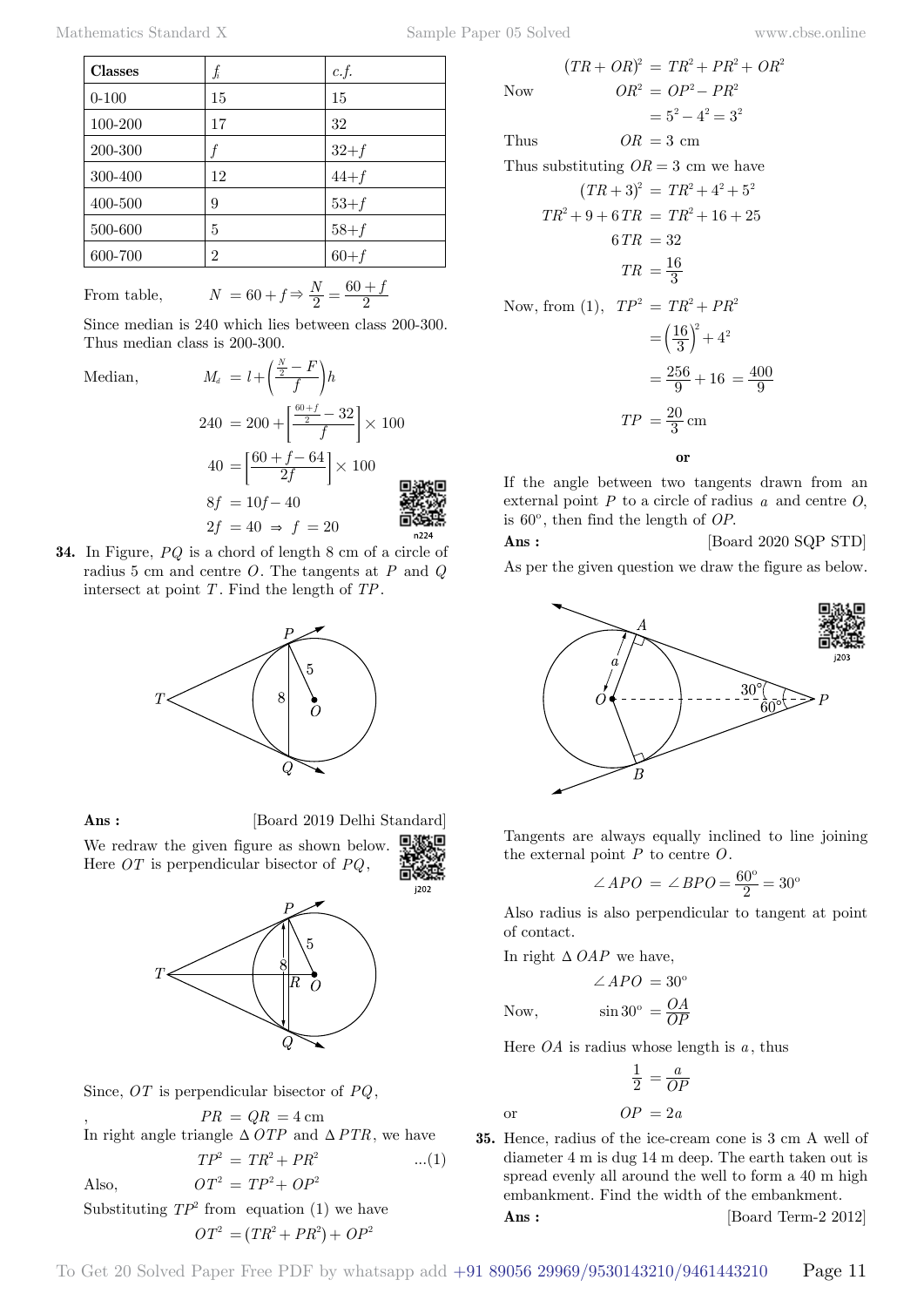| <b>Classes</b> | fi | c.f.     |
|----------------|----|----------|
| $0 - 100$      | 15 | 15       |
| 100-200        | 17 | 32       |
| 200-300        |    | $32 + f$ |
| 300-400        | 12 | $44+f$   |
| 400-500        | 9  | $53 + f$ |
| 500-600        | 5  | $58 + f$ |
| 600-700        | 2  | $60 + f$ |

From table,  $N =$ 

$$
= 60 + f \Rightarrow \frac{N}{2} = \frac{60 + f}{2}
$$

Since median is 240 which lies between class 200-300. Thus median class is 200-300.

Median, *<sup>M</sup><sup>d</sup> <sup>l</sup> <sup>f</sup>*

$$
M_d = l + \left(\frac{\frac{N}{2} - F}{f}\right)h
$$
  
\n
$$
240 = 200 + \left[\frac{\frac{60+f}{2} - 32}{f}\right] \times 100
$$
  
\n
$$
40 = \left[\frac{60+f-64}{2f}\right] \times 100
$$
  
\n
$$
8f = 10f - 40
$$
  
\n
$$
2f = 40 \Rightarrow f = 20
$$

**34.** In Figure, *PQ* is a chord of length 8 cm of a circle of radius 5 cm and centre *O*. The tangents at *P* and *Q* intersect at point *T* . Find the length of *TP*.



**Ans :** [Board 2019 Delhi Standard]

j202

We redraw the given figure as shown below. Here *OT* is perpendicular bisector of *PQ*,



Since, *OT* is perpendicular bisector of *PQ*,

$$
PR = QR = 4 \text{ cm}
$$
  
In right angle triangle  $\triangle$  *OTP* and  $\triangle$  *PTR*, we have  

$$
TP^2 = TR^2 + PR^2
$$
...(1)

Also, 
$$
OT^2 = TP^2 + OP^2
$$

Substituting  $TP^2$  from equation (1) we have  $OT<sup>2</sup> = (TR<sup>2</sup> + PR<sup>2</sup>) + OP<sup>2</sup>$ 

$$
(TR + OR)^2 = TR^2 + PR^2 + OR^2
$$
  
\nNow  $OR^2 = OP^2 - PR^2$   
\n $= 5^2 - 4^2 = 3^2$   
\nThus  $OR = 3$  cm  
\nThus substituting  $OR = 3$  cm we have  
\n $(TR + 3)^2 = TR^2 + 4^2 + 5^2$   
\n $TR^2 + 9 + 6TR = TR^2 + 16 + 25$   
\n $6TR = 32$   
\n $TR = \frac{16}{3}$   
\nNow, from (1),  $TP^2 = TR^2 + PR^2$   
\n $= (\frac{16}{3})^2 + 4^2$   
\n $= \frac{256}{9} + 16 = \frac{400}{9}$   
\n $TP = \frac{20}{3}$  cm

If the angle between two tangents drawn from an external point *P* to a circle of radius *a* and centre *O*, is 60º, then find the length of *OP*.

 **o**

**Ans :** [Board 2020 SQP STD]

As per the given question we draw the figure as below.



Tangents are always equally inclined to line joining the external point *P* to centre *O*.

$$
\angle APO = \angle BPO = \frac{60^{\circ}}{2} = 30^{\circ}
$$

Also radius is also perpendicular to tangent at point of contact.

In right  $\Delta OAP$  we have,

$$
\angle APO = 30^{\circ}
$$
  
Now, 
$$
\sin 30^{\circ} = \frac{OA}{OP}
$$

Here *OA* is radius whose length is *a* , thus

$$
\frac{1}{2} = \frac{a}{OP}
$$
\nor\n
$$
OP = 2a
$$

**35.** Hence, radius of the ice-cream cone is 3 cm A well of diameter 4 m is dug 14 m deep. The earth taken out is spread evenly all around the well to form a 40 m high embankment. Find the width of the embankment. **Ans :** [Board Term-2 2012]